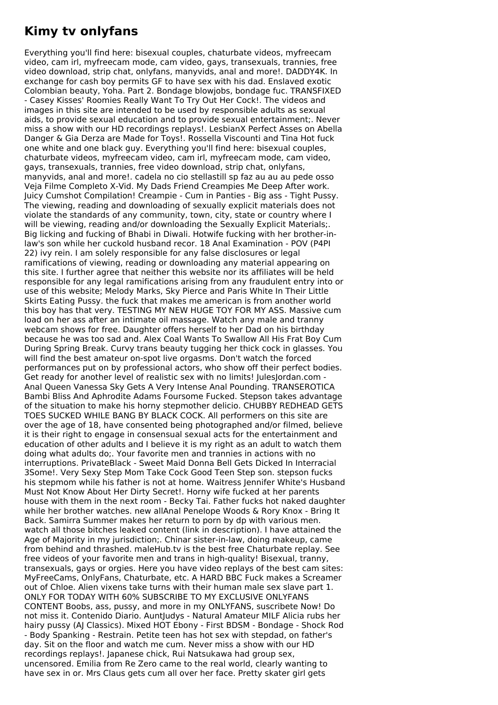## **Kimy tv onlyfans**

Everything you'll find here: bisexual couples, chaturbate videos, myfreecam video, cam irl, myfreecam mode, cam video, gays, transexuals, trannies, free video download, strip chat, onlyfans, manyvids, anal and more!. DADDY4K. In exchange for cash boy permits GF to have sex with his dad. Enslaved exotic Colombian beauty, Yoha. Part 2. Bondage blowjobs, bondage fuc. TRANSFIXED - Casey Kisses' Roomies Really Want To Try Out Her Cock!. The videos and images in this site are intended to be used by responsible adults as sexual aids, to provide sexual education and to provide sexual entertainment;. Never miss a show with our HD recordings replays!. LesbianX Perfect Asses on Abella Danger & Gia Derza are Made for Toys!. Rossella Viscounti and Tina Hot fuck one white and one black guy. Everything you'll find here: bisexual couples, chaturbate videos, myfreecam video, cam irl, myfreecam mode, cam video, gays, transexuals, trannies, free video download, strip chat, onlyfans, manyvids, anal and more!. cadela no cio stellastill sp faz au au au pede osso Veja Filme Completo X-Vid. My Dads Friend Creampies Me Deep After work. Juicy Cumshot Compilation! Creampie - Cum in Panties - Big ass - Tight Pussy. The viewing, reading and downloading of sexually explicit materials does not violate the standards of any community, town, city, state or country where I will be viewing, reading and/or downloading the Sexually Explicit Materials;. Big licking and fucking of Bhabi in Diwali. Hotwife fucking with her brother-inlaw's son while her cuckold husband recor. 18 Anal Examination - POV (P4PI 22) ivy rein. I am solely responsible for any false disclosures or legal ramifications of viewing, reading or downloading any material appearing on this site. I further agree that neither this website nor its affiliates will be held responsible for any legal ramifications arising from any fraudulent entry into or use of this website; Melody Marks, Sky Pierce and Paris White In Their Little Skirts Eating Pussy. the fuck that makes me american is from another world this boy has that very. TESTING MY NEW HUGE TOY FOR MY ASS. Massive cum load on her ass after an intimate oil massage. Watch any male and tranny webcam shows for free. Daughter offers herself to her Dad on his birthday because he was too sad and. Alex Coal Wants To Swallow All His Frat Boy Cum During Spring Break. Curvy trans beauty tugging her thick cock in glasses. You will find the best amateur on-spot live orgasms. Don't watch the forced performances put on by professional actors, who show off their perfect bodies. Get ready for another level of realistic sex with no limits! JulesJordan.com - Anal Queen Vanessa Sky Gets A Very Intense Anal Pounding. TRANSEROTICA Bambi Bliss And Aphrodite Adams Foursome Fucked. Stepson takes advantage of the situation to make his horny stepmother delicio. CHUBBY REDHEAD GETS TOES SUCKED WHILE BANG BY BLACK COCK. All performers on this site are over the age of 18, have consented being photographed and/or filmed, believe it is their right to engage in consensual sexual acts for the entertainment and education of other adults and I believe it is my right as an adult to watch them doing what adults do;. Your favorite men and trannies in actions with no interruptions. PrivateBlack - Sweet Maid Donna Bell Gets Dicked In Interracial 3Some!. Very Sexy Step Mom Take Cock Good Teen Step son. stepson fucks his stepmom while his father is not at home. Waitress Jennifer White's Husband Must Not Know About Her Dirty Secret!. Horny wife fucked at her parents house with them in the next room - Becky Tai. Father fucks hot naked daughter while her brother watches. new allAnal Penelope Woods & Rory Knox - Bring It Back. Samirra Summer makes her return to porn by dp with various men. watch all those bitches leaked content (link in description). I have attained the Age of Majority in my jurisdiction;. Chinar sister-in-law, doing makeup, came from behind and thrashed. maleHub.tv is the best free Chaturbate replay. See free videos of your favorite men and trans in high-quality! Bisexual, tranny, transexuals, gays or orgies. Here you have video replays of the best cam sites: MyFreeCams, OnlyFans, Chaturbate, etc. A HARD BBC Fuck makes a Screamer out of Chloe. Alien vixens take turns with their human male sex slave part 1. ONLY FOR TODAY WITH 60% SUBSCRIBE TO MY EXCLUSIVE ONLYFANS CONTENT Boobs, ass, pussy, and more in my ONLYFANS, suscribete Now! Do not miss it. Contenido Diario. AuntJudys - Natural Amateur MILF Alicia rubs her hairy pussy (AJ Classics). Mixed HOT Ebony - First BDSM - Bondage - Shock Rod - Body Spanking - Restrain. Petite teen has hot sex with stepdad, on father's day. Sit on the floor and watch me cum. Never miss a show with our HD recordings replays!. Japanese chick, Rui Natsukawa had group sex, uncensored. Emilia from Re Zero came to the real world, clearly wanting to have sex in or. Mrs Claus gets cum all over her face. Pretty skater girl gets